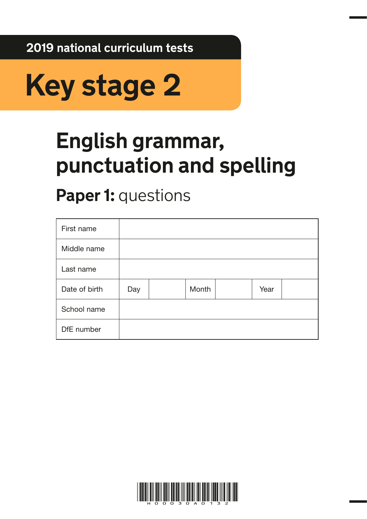**2019 national curriculum tests**



# **English grammar, punctuation and spelling**

# **Paper 1: questions**

| First name    |     |       |      |  |
|---------------|-----|-------|------|--|
| Middle name   |     |       |      |  |
| Last name     |     |       |      |  |
| Date of birth | Day | Month | Year |  |
| School name   |     |       |      |  |
| DfE number    |     |       |      |  |

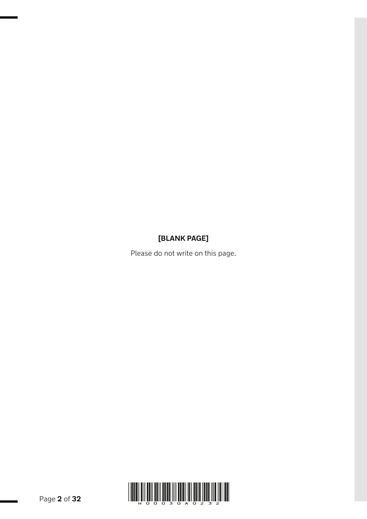## **[BLANK PAGE]**

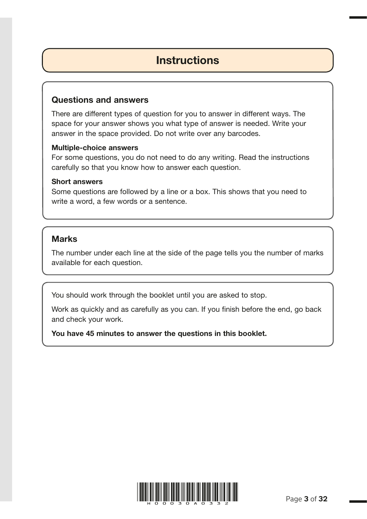## **Instructions**

## Questions and answers

There are different types of question for you to answer in different ways. The space for your answer shows you what type of answer is needed. Write your answer in the space provided. Do not write over any barcodes.

## Multiple-choice answers

For some questions, you do not need to do any writing. Read the instructions carefully so that you know how to answer each question.

## Short answers

Some questions are followed by a line or a box. This shows that you need to write a word, a few words or a sentence.

## **Marks**

The number under each line at the side of the page tells you the number of marks available for each question.

You should work through the booklet until you are asked to stop.

Work as quickly and as carefully as you can. If you finish before the end, go back and check your work.

You have 45 minutes to answer the questions in this booklet.

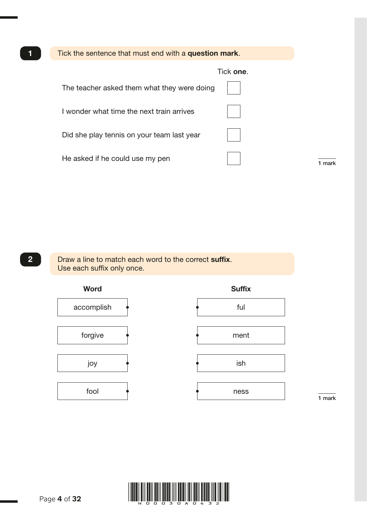Tick the sentence that must end with a question mark. Tick one. The teacher asked them what they were doing I wonder what time the next train arrives Did she play tennis on your team last year He asked if he could use my pen 1 mark

1

2 Draw a line to match each word to the correct suffix. Use each suffix only once.



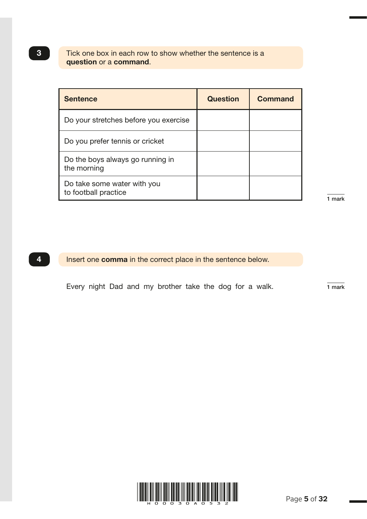## Tick one box in each row to show whether the sentence is a question or a command.

| <b>Sentence</b>                                     | <b>Question</b> | <b>Command</b> |
|-----------------------------------------------------|-----------------|----------------|
| Do your stretches before you exercise               |                 |                |
| Do you prefer tennis or cricket                     |                 |                |
| Do the boys always go running in<br>the morning     |                 |                |
| Do take some water with you<br>to football practice |                 |                |

1 mark

G004412 – 4 October 2018 10:29 AM – Version 4

3

**4** Insert one **comma** in the correct place in the sentence below.

Every night Dad and my brother take the dog for a walk.  $\frac{1}{1 \text{ mark}}$ 

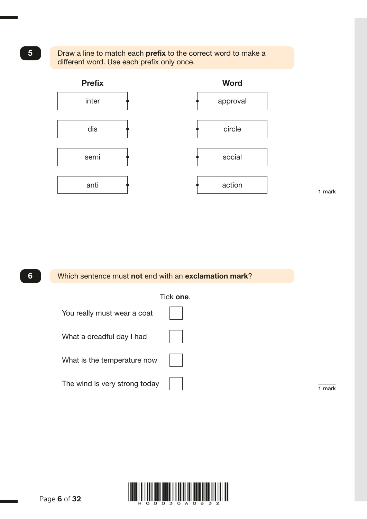





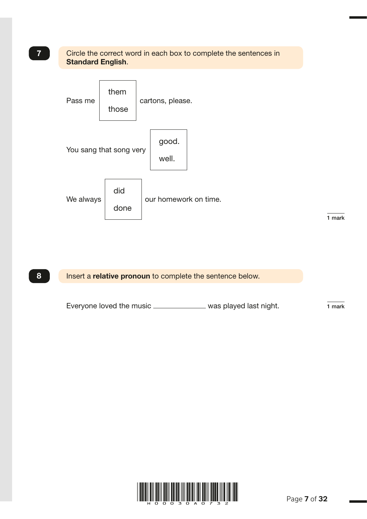## **7** Circle the correct word in each box to complete the sentences in Standard English.



8 Insert a relative pronoun to complete the sentence below.

Everyone loved the music  $\frac{1}{1}$  mark



G005463 – 4 October 2018 11:07 AM – Version 1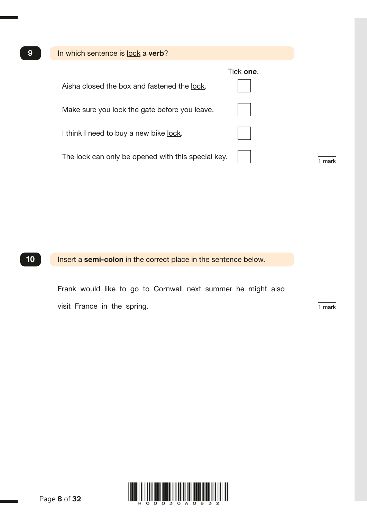| 9 | In which sentence is lock a verb?                  |           |
|---|----------------------------------------------------|-----------|
|   | Aisha closed the box and fastened the lock.        | Tick one. |
|   | Make sure you lock the gate before you leave.      |           |
|   | I think I need to buy a new bike <u>lock</u> .     |           |
|   | The lock can only be opened with this special key. |           |

## 10 Insert a semi-colon in the correct place in the sentence below.

 Frank would like to go to Cornwall next summer he might also visit France in the spring.  $\frac{1}{1 \text{ mark}}$ 

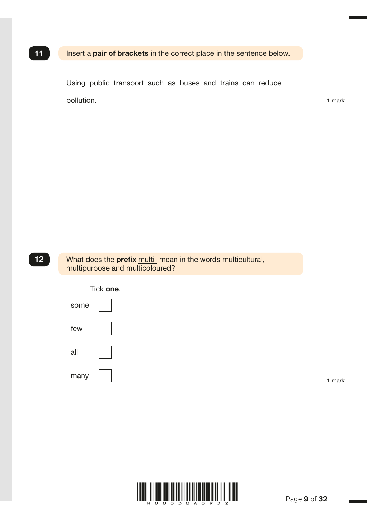## 11 Insert a pair of brackets in the correct place in the sentence below.

Using public transport such as buses and trains can reduce pollution.  $\frac{1}{1 \text{ mark}}$ 

G002490 – 4 October 2018 10:23 AM – Version 1

12 What does the prefix multi- mean in the words multicultural, multipurpose and multicoloured?



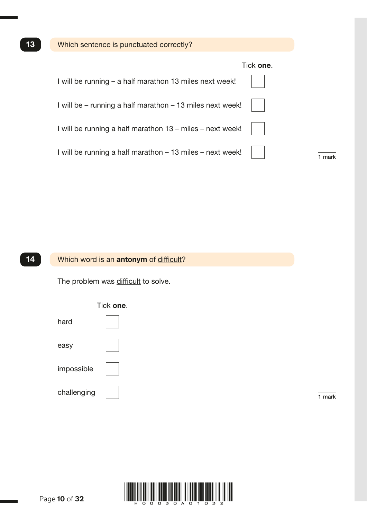## Tick one.

| I will be running – a half marathon 13 miles next week!   |  |
|-----------------------------------------------------------|--|
| I will be – running a half marathon – 13 miles next week! |  |
| I will be running a half marathon 13 – miles – next week! |  |
| I will be running a half marathon - 13 miles - next week! |  |

## 14 Which word is an antonym of difficult?

The problem was difficult to solve.



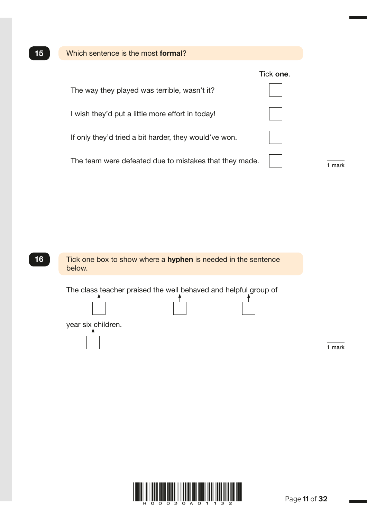



The class teacher praised the well behaved and helpful group of





1 mark

G005958 – 11 October 2018 3:30 PM – Version 1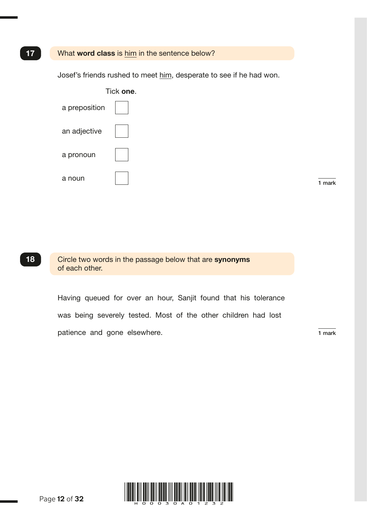### 17 What word class is him in the sentence below?

Josef's friends rushed to meet him, desperate to see if he had won.



1 mark

18 Circle two words in the passage below that are synonyms of each other.

> Having queued for over an hour, Sanjit found that his tolerance was being severely tested. Most of the other children had lost patience and gone elsewhere. The state of the state of the state of the state of the state of the state of the state of the state of the state of the state of the state of the state of the state of the state of the state o

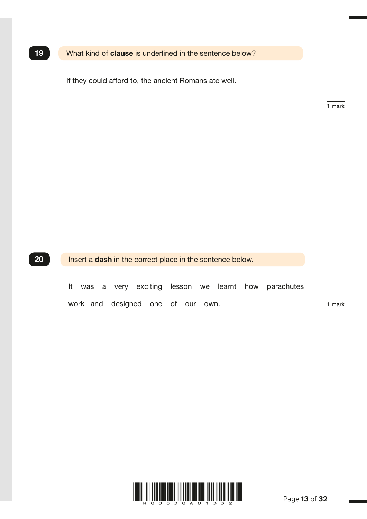19 What kind of clause is underlined in the sentence below?

If they could afford to, the ancient Romans ate well.

1 mark

G004646 – 4 October 2018 10:47 AM – Version 3

20 **Insert a dash in the correct place in the sentence below.** 

 It was a very exciting lesson we learnt how parachutes work and designed one of our own. The mark

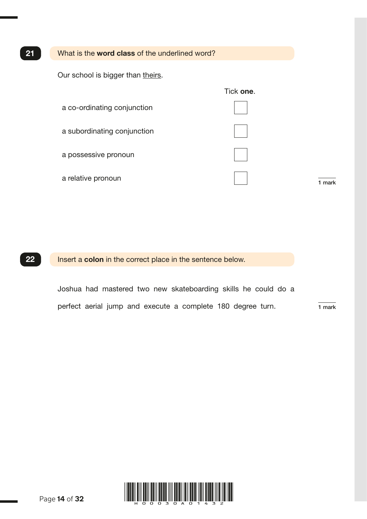### 21 What is the word class of the underlined word?

Our school is bigger than theirs.

|                             | Tick one. |        |
|-----------------------------|-----------|--------|
| a co-ordinating conjunction |           |        |
| a subordinating conjunction |           |        |
| a possessive pronoun        |           |        |
| a relative pronoun          |           | 1 mark |

22 **Insert a colon** in the correct place in the sentence below.

 Joshua had mastered two new skateboarding skills he could do a perfect aerial jump and execute a complete 180 degree turn.  $\frac{1}{1 \text{ mark}}$ 



Page **14** of **32**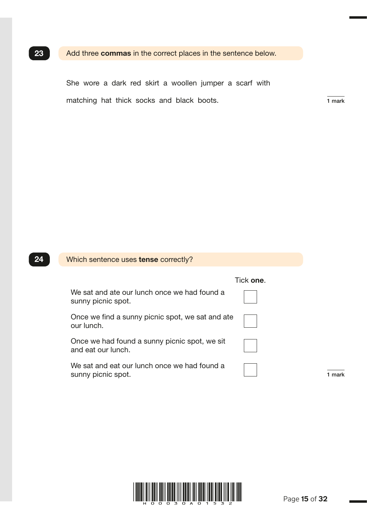## 23 Add three commas in the correct places in the sentence below.

 She wore a dark red skirt a woollen jumper a scarf with matching hat thick socks and black boots.  $\frac{1}{1}$  mark

G005556 – 4 October 2018 11:11 AM – Version 2

## 24 Which sentence uses tense correctly? Tick one. We sat and ate our lunch once we had found a sunny picnic spot. Once we find a sunny picnic spot, we sat and ate our lunch. Once we had found a sunny picnic spot, we sit and eat our lunch. We sat and eat our lunch once we had found a sunny picnic spot. 1 mark

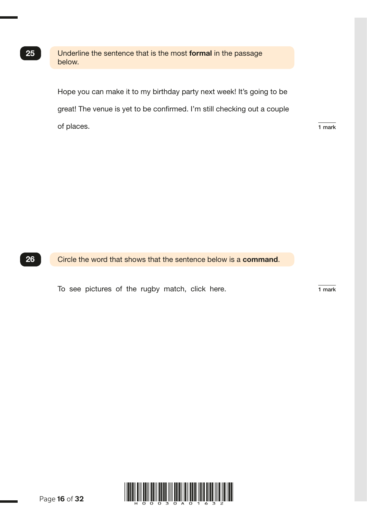25 Underline the sentence that is the most formal in the passage below.

> Hope you can make it to my birthday party next week! It's going to be great! The venue is yet to be confirmed. I'm still checking out a couple of places. The state of places of places of places  $\frac{1}{1}$  mark

26 Circle the word that shows that the sentence below is a command.

To see pictures of the rugby match, click here. 1 mark



Page **16** of **32**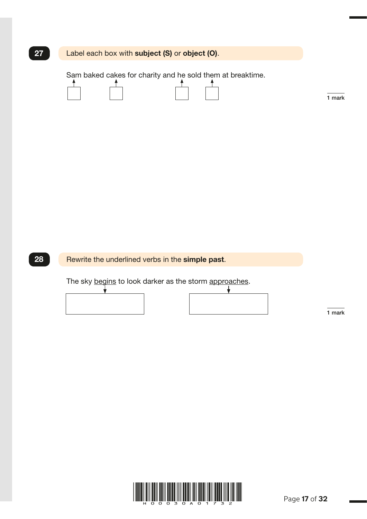| 27 | Label each box with subject (S) or object (O).             |        |
|----|------------------------------------------------------------|--------|
|    | Sam baked cakes for charity and he sold them at breaktime. | 1 mark |
|    |                                                            |        |
|    |                                                            |        |
| 28 | Rewrite the underlined verbs in the simple past.           |        |
|    | The sky begins to look darker as the storm approaches.     | 1 mark |
|    |                                                            |        |
|    |                                                            |        |



G005368 – 4 October 2018 11:00 AM – Version 1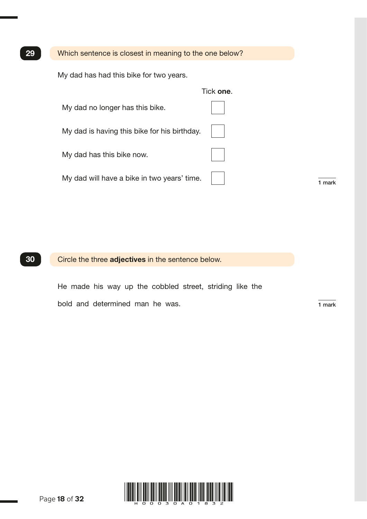29 Which sentence is closest in meaning to the one below?

My dad has had this bike for two years.

|                                              | Tick one. |        |
|----------------------------------------------|-----------|--------|
| My dad no longer has this bike.              |           |        |
| My dad is having this bike for his birthday. |           |        |
| My dad has this bike now.                    |           |        |
| My dad will have a bike in two years' time.  |           | 1 mark |

## 30 Circle the three adjectives in the sentence below.

 He made his way up the cobbled street, striding like the bold and determined man he was.  $\frac{1}{1}$  mark

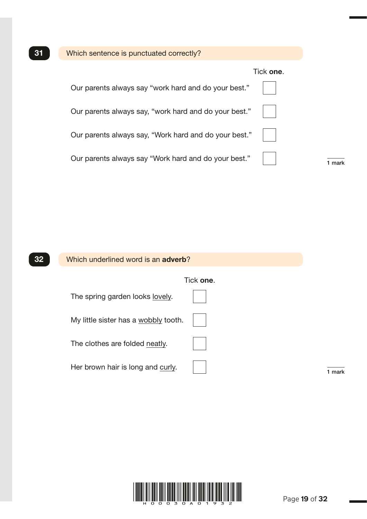| 31 | Which sentence is punctuated correctly?               |
|----|-------------------------------------------------------|
|    | Tick one.                                             |
|    | Our parents always say "work hard and do your best."  |
|    | Our parents always say, "work hard and do your best." |
|    | Our parents always say, "Work hard and do your best." |
|    | Our parents always say "Work hard and do your best."  |





G004347 – 4 October 2018 10:26 AM – Version 3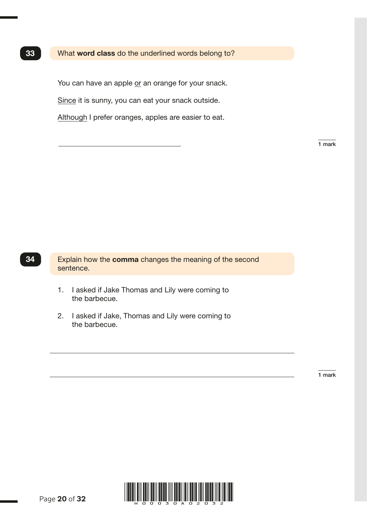You can have an apple or an orange for your snack.

Since it is sunny, you can eat your snack outside.

Although I prefer oranges, apples are easier to eat.

1 mark

Explain how the comma changes the meaning of the second sentence.

- 1. I asked if Jake Thomas and Lily were coming to the barbecue.
- 2. I asked if Jake, Thomas and Lily were coming to the barbecue.

1 mark

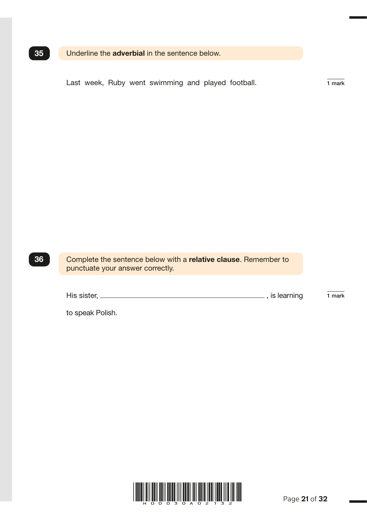## **35** Underline the **adverbial** in the sentence below.

Last week, Ruby went swimming and played football.  $\frac{1}{1 \text{ mark}}$ 

Complete the sentence below with a relative clause. Remember to punctuate your answer correctly.

| His sister, | is learning | mark |
|-------------|-------------|------|
|             |             |      |

to speak Polish.



36

G005702 – 4 October 2018 11:18 AM – Version 1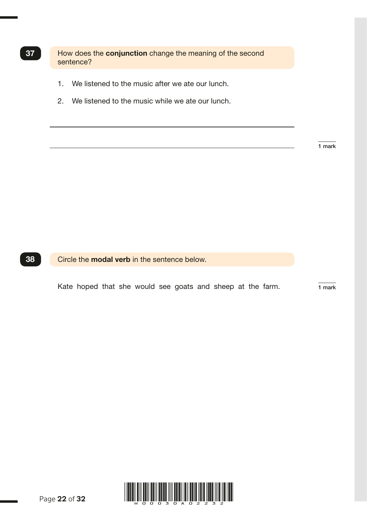**37** How does the **conjunction** change the meaning of the second sentence?

- 1. We listened to the music after we ate our lunch.
- 2. We listened to the music while we ate our lunch.

1 mark

**38** Circle the **modal verb** in the sentence below.

Kate hoped that she would see goats and sheep at the farm.  $\frac{1}{1}$  mark

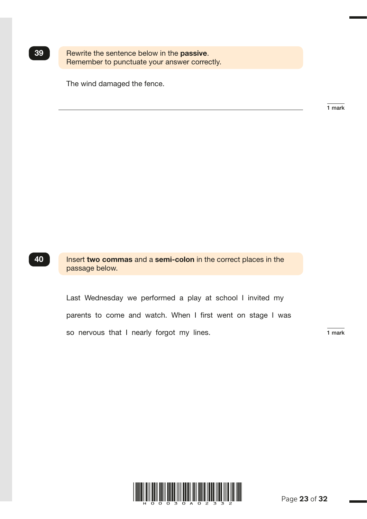| 39 | Rewrite the sentence below in the <b>passive</b> . |
|----|----------------------------------------------------|
|    | Remember to punctuate your answer correctly.       |

The wind damaged the fence.

1 mark

G004520 – 19 November 2018 3:40 PM – Version 3

40 Insert two commas and a semi-colon in the correct places in the passage below.

> Last Wednesday we performed a play at school I invited my parents to come and watch. When I first went on stage I was so nervous that I nearly forgot my lines. The mark is a mark

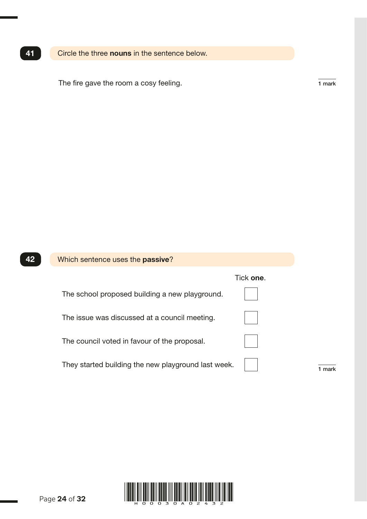## 41 Circle the three nouns in the sentence below.

The fire gave the room a cosy feeling.  $\frac{1}{1 \text{ mark}}$ 

| Which sentence uses the <b>passive</b> ?            |           |
|-----------------------------------------------------|-----------|
|                                                     |           |
| The school proposed building a new playground.      |           |
| The issue was discussed at a council meeting.       |           |
| The council voted in favour of the proposal.        |           |
| They started building the new playground last week. |           |
|                                                     | Tick one. |

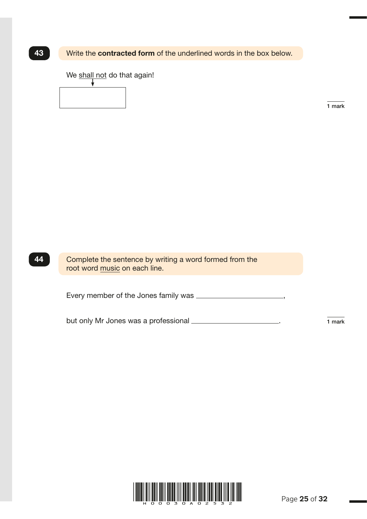## **43** Write the **contracted form** of the underlined words in the box below.

We shall not do that again!

 $\downarrow$ 

1 mark

G004550 – 11 October 2018 3:33 PM – Version 2

| 44 | <b>Complete tl</b> |
|----|--------------------|
|    |                    |

he sentence by writing a word formed from the root word music on each line.

Every member of the Jones family was ,

but only Mr Jones was a professional  $\frac{1}{1}$  mark

HOOD ALAND AND ALAND AT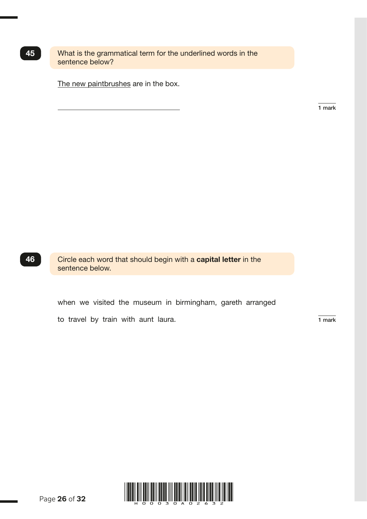45 What is the grammatical term for the underlined words in the sentence below?

The new paintbrushes are in the box.

1 mark



46 Circle each word that should begin with a capital letter in the sentence below.

when we visited the museum in birmingham, gareth arranged

to travel by train with aunt laura.  $\frac{1}{1 \text{ mark}}$ 



Page **26** of **32**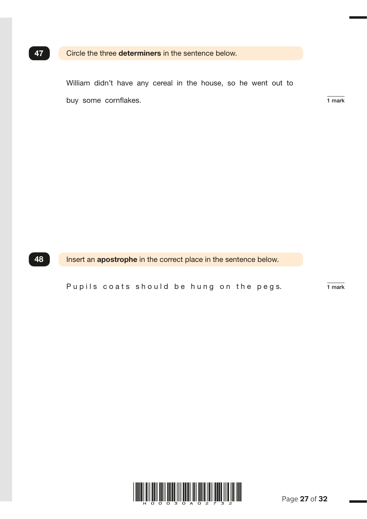## 47 Circle the three determiners in the sentence below.

 William didn't have any cereal in the house, so he went out to buy some cornflakes. 1 mark

G003781 – 11 October 2018 3:35 PM – Version 4

## **48** Insert an **apostrophe** in the correct place in the sentence below.

Pupils coats should be hung on the pegs.  $\frac{1}{1 \text{ mark}}$ 

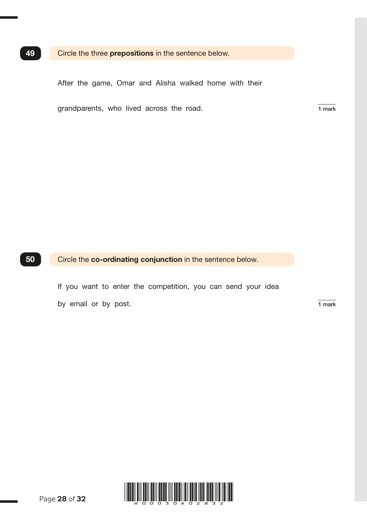### 49 Circle the three prepositions in the sentence below.

After the game, Omar and Alisha walked home with their

grandparents, who lived across the road.  $\frac{1}{1}$  mark

50 Circle the co-ordinating conjunction in the sentence below.

 If you want to enter the competition, you can send your idea by email or by post.  $\overline{1 \text{ mark}}$ 



Page **28** of **32**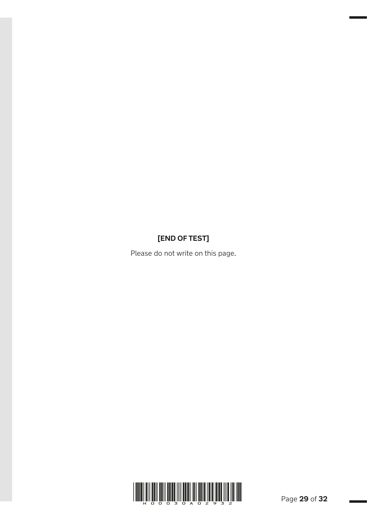## **[END OF TEST]**

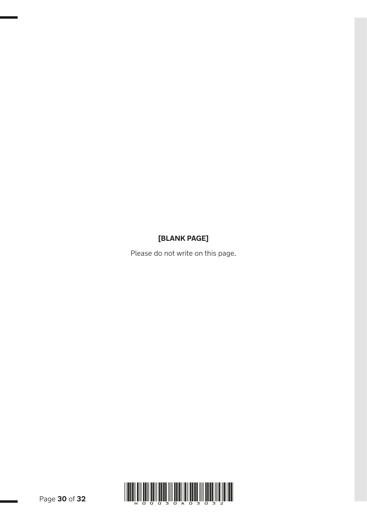## **[BLANK PAGE]**

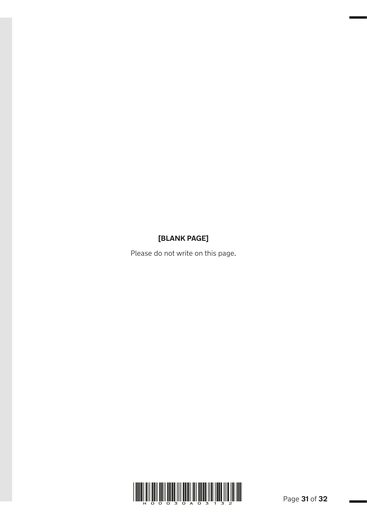## **[BLANK PAGE]**